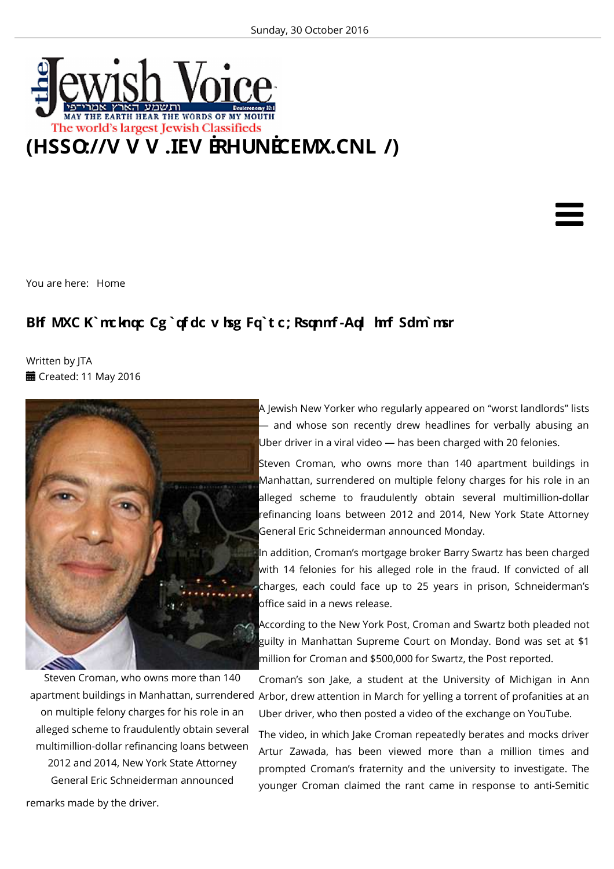

You are here: Home

## **Bhf MXC K`mcknqc Cg`qf dc v hsg Fq`t c; Rsqnmf -Aql hmf Sdm`msr**

Written by JTA **■ Created: 11 May 2016** 



Steven Croman, who owns more than 140 on multiple felony charges for his role in an alleged scheme to fraudulently obtain several multimillion-dollar refinancing loans between 2012 and 2014, New York State Attorney General Eric Schneiderman announced

A Jewish New Yorker who regularly appeared on "worst landlords" lists — and whose son recently drew headlines for verbally abusing an Uber driver in a viral video — has been charged with 20 felonies.

Steven Croman, who owns more than 140 apartment buildings in Manhattan, surrendered on multiple felony charges for his role in an alleged scheme to fraudulently obtain several multimillion-dollar refinancing loans between 2012 and 2014, New York State Attorney General Eric Schneiderman announced Monday.

In addition, Croman's mortgage broker Barry Swartz has been charged with 14 felonies for his alleged role in the fraud. If convicted of all charges, each could face up to 25 years in prison, Schneiderman's office said in a news release.

According to the New York Post, Croman and Swartz both pleaded not guilty in Manhattan Supreme Court on Monday. Bond was set at \$1 million for Croman and \$500,000 for Swartz, the Post reported.

apartment buildings in Manhattan, surrendered Arbor, drew attention in March for yelling a torrent of profanities at an Croman's son Jake, a student at the University of Michigan in Ann Uber driver, who then posted a video of the exchange on YouTube.

> The video, in which Jake Croman repeatedly berates and mocks driver Artur Zawada, has been viewed more than a million times and prompted Croman's fraternity and the university to investigate. The younger Croman claimed the rant came in response to anti-Semitic

remarks made by the driver.